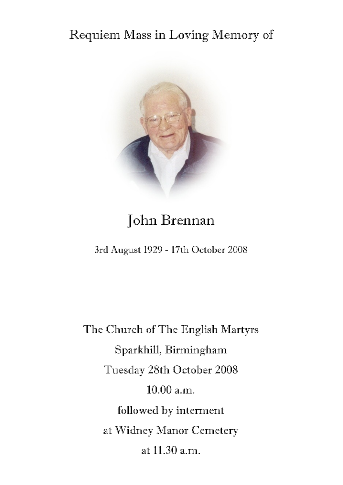# Requiem Mass in Loving Memory of



# John Brennan

3rd August 1929 - 17th October 2008

The Church of The English Martyrs Sparkhill, Birmingham Tuesday 28th October 2008 10.00 a.m. followed by interment at Widney Manor Cemetery at 11.30 a.m.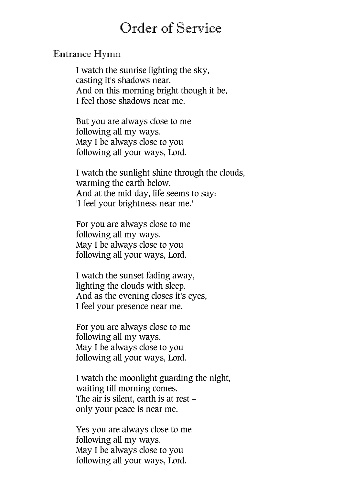# Order of Service

#### Entrance Hymn

I watch the sunrise lighting the sky, casting it's shadows near. And on this morning bright though it be, I feel those shadows near me.

But you are always close to me following all my ways. May I be always close to you following all your ways, Lord.

I watch the sunlight shine through the clouds, warming the earth below. And at the mid-day, life seems to say: 'I feel your brightness near me.'

For you are always close to me following all my ways. May I be always close to you following all your ways, Lord.

I watch the sunset fading away, lighting the clouds with sleep. And as the evening closes it's eyes, I feel your presence near me.

For you are always close to me following all my ways. May I be always close to you following all your ways, Lord.

I watch the moonlight guarding the night, waiting till morning comes. The air is silent, earth is at rest – only your peace is near me.

Yes you are always close to me following all my ways. May I be always close to you following all your ways, Lord.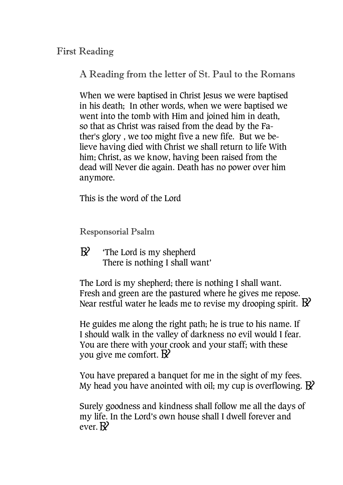First Reading

A Reading from the letter of St. Paul to the Romans

When we were baptised in Christ Jesus we were baptised in his death; In other words, when we were baptised we went into the tomb with Him and joined him in death, so that as Christ was raised from the dead by the Father's glory , we too might five a new fife. But we believe having died with Christ we shall return to life With him; Christ, as we know, having been raised from the dead will Never die again. Death has no power over him anymore.

This is the word of the Lord

Responsorial Psalm

 $R^2$ 'The Lord is my shepherd There is nothing I shall want'

The Lord is my shepherd; there is nothing I shall want. Fresh and green are the pastured where he gives me repose. Near restful water he leads me to revise my drooping spirit.  $\mathbb{R}^2$ 

He guides me along the right path; he is true to his name. If I should walk in the valley of darkness no evil would I fear. You are there with your crook and your staff; with these you give me comfort.  $\mathbb{R}^2$ 

You have prepared a banquet for me in the sight of my fees. My head you have anointed with oil; my cup is overflowing.  $\mathbb{R}^2$ 

Surely goodness and kindness shall follow me all the days of my life. In the Lord's own house shall I dwell forever and ever.  $\overrightarrow{R}$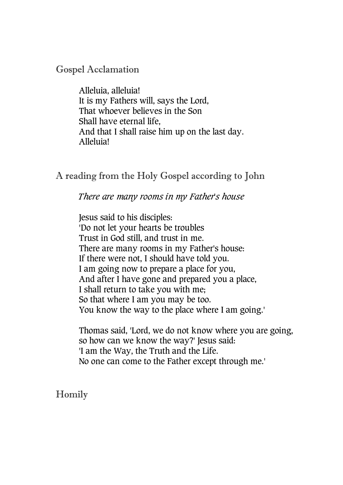Gospel Acclamation

Alleluia, alleluia! It is my Fathers will, says the Lord, That whoever believes in the Son Shall have eternal life, And that I shall raise him up on the last day. Alleluia!

A reading from the Holy Gospel according to John

*There are many rooms in my Father's house*

Jesus said to his disciples: 'Do not let your hearts be troubles Trust in God still, and trust in me. There are many rooms in my Father's house: If there were not, I should have told you. I am going now to prepare a place for you, And after I have gone and prepared you a place, I shall return to take you with me; So that where I am you may be too. You know the way to the place where I am going.'

Thomas said, 'Lord, we do not know where you are going, so how can we know the way?' Jesus said: 'I am the Way, the Truth and the Life. No one can come to the Father except through me.'

Homily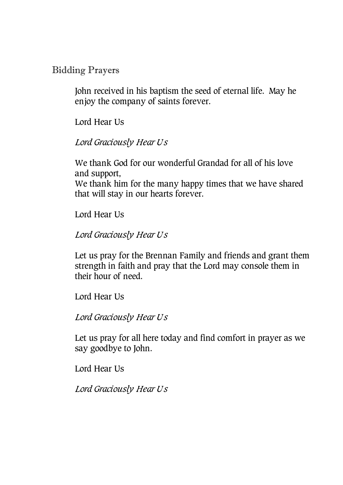Bidding Prayers

John received in his baptism the seed of eternal life. May he enjoy the company of saints forever.

Lord Hear Us

*Lord Graciously Hear Us*

We thank God for our wonderful Grandad for all of his love and support, We thank him for the many happy times that we have shared that will stay in our hearts forever.

Lord Hear Us

*Lord Graciously Hear Us*

Let us pray for the Brennan Family and friends and grant them strength in faith and pray that the Lord may console them in their hour of need.

Lord Hear Us

*Lord Graciously Hear Us*

Let us pray for all here today and find comfort in prayer as we say goodbye to John.

Lord Hear Us

*Lord Graciously Hear Us*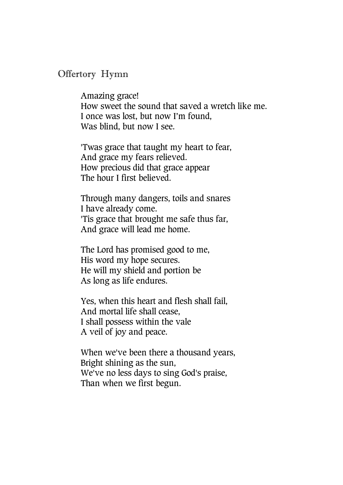#### Offertory Hymn

Amazing grace! How sweet the sound that saved a wretch like me. I once was lost, but now I'm found, Was blind, but now I see.

'Twas grace that taught my heart to fear, And grace my fears relieved. How precious did that grace appear The hour I first believed.

Through many dangers, toils and snares I have already come. 'Tis grace that brought me safe thus far, And grace will lead me home.

The Lord has promised good to me, His word my hope secures. He will my shield and portion be As long as life endures.

Yes, when this heart and flesh shall fail, And mortal life shall cease, I shall possess within the vale A veil of joy and peace.

When we've been there a thousand years, Bright shining as the sun, We've no less days to sing God's praise, Than when we first begun.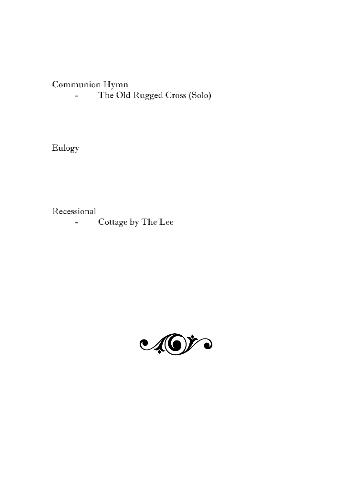### Communion Hymn

- The Old Rugged Cross (Solo)

Eulogy

Recessional

- Cottage by The Lee